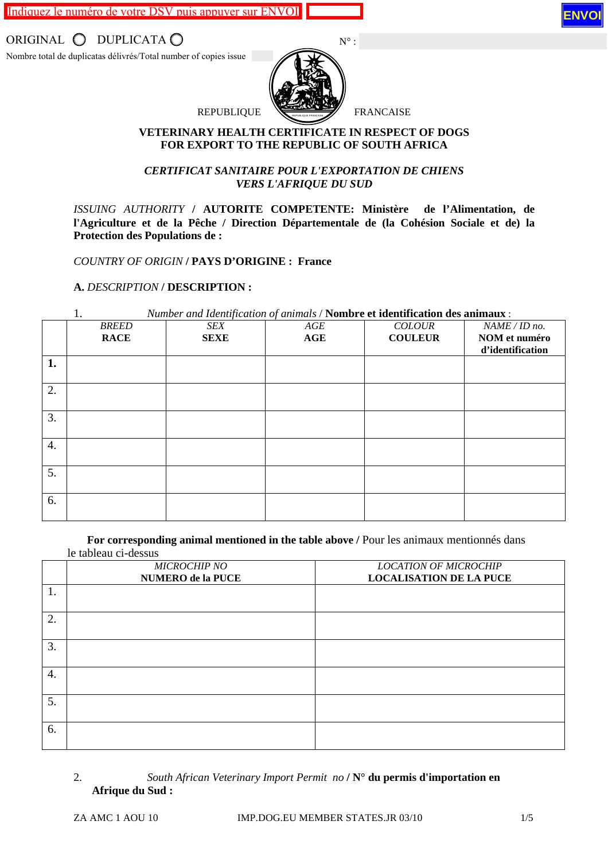Indiquez le numéro de votre DSV puis appuyer sur ENVOI

ORIGINAL  $\bigcirc$  DUPLICATA  $\bigcirc$   $N^{\circ}$ :

Nombre total de duplicatas délivrés/Total number of copies issue



**VETERINARY HEALTH CERTIFICATE IN RESPECT OF DOGS FOR EXPORT TO THE REPUBLIC OF SOUTH AFRICA**

# *CERTIFICAT SANITAIRE POUR L'EXPORTATION DE CHIENS VERS L'AFRIQUE DU SUD*

*ISSUING AUTHORITY* **/ AUTORITE COMPETENTE: Ministère de l'Alimentation, de l'Agriculture et de la Pêche / Direction Départementale de (la Cohésion Sociale et de) la**  Protection des Populations de :

*COUNTRY OF ORIGIN* **/ PAYS D'ORIGINE : France** 

# **A.** *DESCRIPTION* **/ DESCRIPTION :**

|    | Number and Identification of animals / Nombre et identification des animaux : |             |     |                |                  |
|----|-------------------------------------------------------------------------------|-------------|-----|----------------|------------------|
|    | <b>BREED</b>                                                                  | SEX         | AGE | <b>COLOUR</b>  | NAME / ID no.    |
|    | <b>RACE</b>                                                                   | <b>SEXE</b> | AGE | <b>COULEUR</b> | NOM et numéro    |
|    |                                                                               |             |     |                | d'identification |
| 1. |                                                                               |             |     |                |                  |
|    |                                                                               |             |     |                |                  |
| 2. |                                                                               |             |     |                |                  |
|    |                                                                               |             |     |                |                  |
| 3. |                                                                               |             |     |                |                  |
|    |                                                                               |             |     |                |                  |
| 4. |                                                                               |             |     |                |                  |
|    |                                                                               |             |     |                |                  |
| 5. |                                                                               |             |     |                |                  |
|    |                                                                               |             |     |                |                  |
| 6. |                                                                               |             |     |                |                  |
|    |                                                                               |             |     |                |                  |

For corresponding animal mentioned in the table above / Pour les animaux mentionnés dans le tableau ci-dessus

|    | <b>MICROCHIP NO</b>      | <b>LOCATION OF MICROCHIP</b>   |
|----|--------------------------|--------------------------------|
|    | <b>NUMERO de la PUCE</b> | <b>LOCALISATION DE LA PUCE</b> |
| 1. |                          |                                |
| 2. |                          |                                |
| 3. |                          |                                |
| 4. |                          |                                |
| 5. |                          |                                |
| 6. |                          |                                |

## 2. *South African Veterinary Import Permit no* **/ N° du permis d'importation en Afrique du Sud :**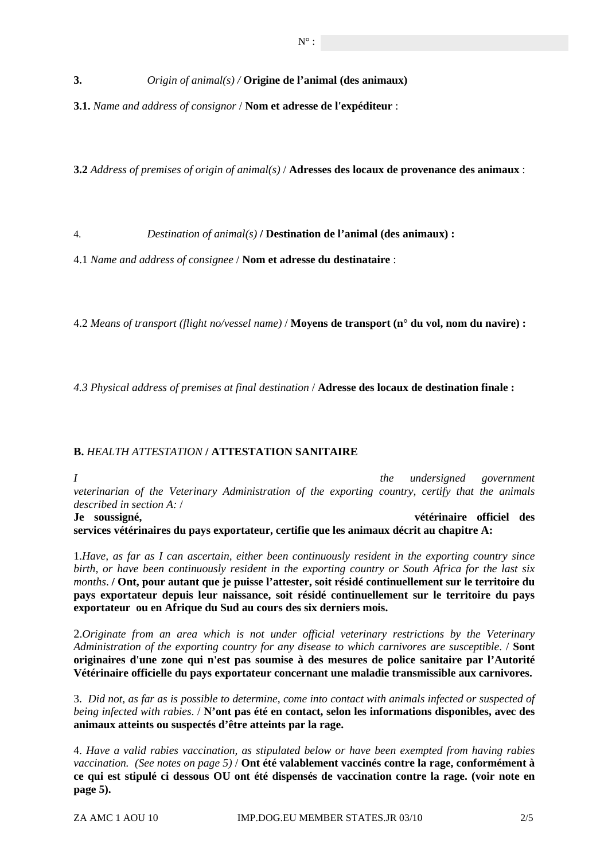**3.** *Origin of animal(s) /* **Origine de l'animal (des animaux)** 

**3.1.** *Name and address of consignor* / **Nom et adresse de l'expéditeur** :

**3.2** *Address of premises of origin of animal(s)* / **Adresses des locaux de provenance des animaux** :

4. *Destination of animal(s)* **/ Destination de l'animal (des animaux) :** 

4.1 *Name and address of consignee* / **Nom et adresse du destinataire** :

4.2 *Means of transport (flight no/vessel name)* / **Moyens de transport (n° du vol, nom du navire) :** 

*4.3 Physical address of premises at final destination* / **Adresse des locaux de destination finale :** 

#### **B.** *HEALTH ATTESTATION* **/ ATTESTATION SANITAIRE**

*I*………………………………………………………………….. *the undersigned government veterinarian of the Veterinary Administration of the exporting country, certify that the animals described in section A:* / **Je soussigné,** ………………………………………………………………**vétérinaire officiel des** 

**services vétérinaires du pays exportateur, certifie que les animaux décrit au chapitre A:** 

1.*Have, as far as I can ascertain, either been continuously resident in the exporting country since birth, or have been continuously resident in the exporting country or South Africa for the last six months*. **/ Ont, pour autant que je puisse l'attester, soit résidé continuellement sur le territoire du pays exportateur depuis leur naissance, soit résidé continuellement sur le territoire du pays exportateur ou en Afrique du Sud au cours des six derniers mois.** 

2.*Originate from an area which is not under official veterinary restrictions by the Veterinary Administration of the exporting country for any disease to which carnivores are susceptible*. / **Sont originaires d'une zone qui n'est pas soumise à des mesures de police sanitaire par l'Autorité Vétérinaire officielle du pays exportateur concernant une maladie transmissible aux carnivores.** 

3. *Did not, as far as is possible to determine, come into contact with animals infected or suspected of being infected with rabies*. / **N'ont pas été en contact, selon les informations disponibles, avec des animaux atteints ou suspectés d'être atteints par la rage.** 

4. *Have a valid rabies vaccination, as stipulated below or have been exempted from having rabies vaccination. (See notes on page 5)* / **Ont été valablement vaccinés contre la rage, conformément à ce qui est stipulé ci dessous OU ont été dispensés de vaccination contre la rage. (voir note en page 5).**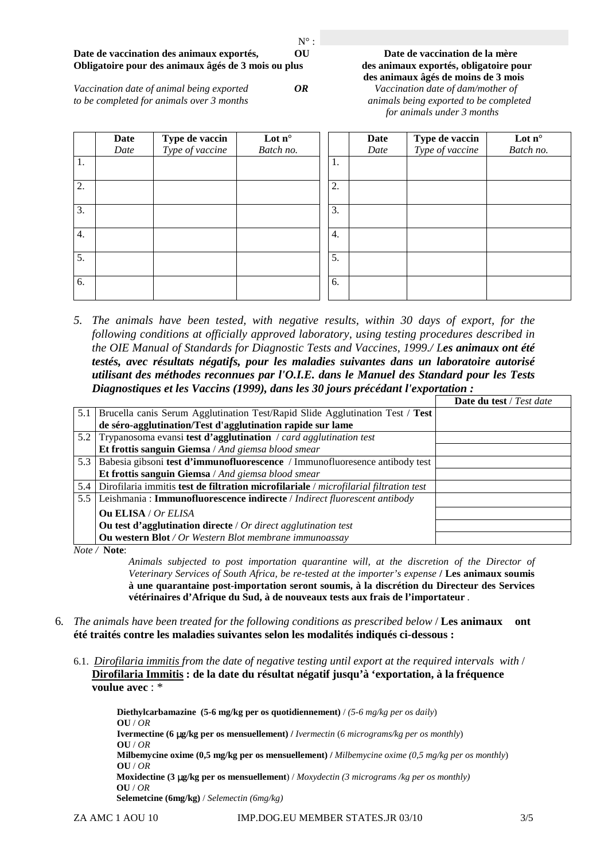#### **Date de vaccination des animaux exportés, OU Date de vaccination de la mère Obligatoire pour des animaux âgés de 3 mois ou plus des animaux exportés, obligatoire pour**

*Vaccination date of animal being exported OR Vaccination date of dam/mother of to be completed for animals over 3 months* animals being exported to be completed *to be completed* 

**des animaux âgés de moins de 3 mois**

 *for animals under 3 months*

|                  | Date | <b>Type de vaccin</b><br>Type of vaccine | Lot $n^{\circ}$ |    | <b>Date</b> | <b>Type de vaccin</b><br>Type of vaccine | Lot $n^{\circ}$ |
|------------------|------|------------------------------------------|-----------------|----|-------------|------------------------------------------|-----------------|
|                  | Date |                                          | Batch no.       |    | Date        |                                          | Batch no.       |
| 1.               |      |                                          |                 | 1. |             |                                          |                 |
| 2.               |      |                                          |                 | 2. |             |                                          |                 |
| 3.               |      |                                          |                 | 3. |             |                                          |                 |
| $\overline{4}$ . |      |                                          |                 | 4. |             |                                          |                 |
| 5.               |      |                                          |                 | 5. |             |                                          |                 |
| 6.               |      |                                          |                 | 6. |             |                                          |                 |

*5. The animals have been tested, with negative results, within 30 days of export, for the following conditions at officially approved laboratory, using testing procedures described in the OIE Manual of Standards for Diagnostic Tests and Vaccines, 1999./ Les animaux ont été testés, avec résultats négatifs, pour les maladies suivantes dans un laboratoire autorisé utilisant des méthodes reconnues par l'O.I.E. dans le Manuel des Standard pour les Tests Diagnostiques et les Vaccins (1999), dans les 30 jours précédant l'exportation :*

|                                                                                           | <b>Date du test</b> / Test date |
|-------------------------------------------------------------------------------------------|---------------------------------|
| 5.1   Brucella canis Serum Agglutination Test/Rapid Slide Agglutination Test / Test       |                                 |
| de séro-agglutination/Test d'agglutination rapide sur lame                                |                                 |
| 5.2 Trypanosoma evansi test d'agglutination / card agglutination test                     |                                 |
| Et frottis sanguin Giemsa / And giemsa blood smear                                        |                                 |
| 5.3 Babesia gibsoni <b>test d'immunofluorescence</b> / Immunofluoresence antibody test    |                                 |
| Et frottis sanguin Giemsa / And giemsa blood smear                                        |                                 |
| 5.4 Dirofilaria immitis test de filtration microfilariale / microfilarial filtration test |                                 |
| 5.5   Leishmania : Immunofluorescence indirecte / Indirect fluorescent antibody           |                                 |
| <b>Ou ELISA</b> / <i>Or ELISA</i>                                                         |                                 |
| <b>Ou test d'agglutination directe</b> / Or direct agglutination test                     |                                 |
| <b>Ou western Blot</b> / Or Western Blot membrane immunoassay                             |                                 |

*Note /* **Note**:

*Animals subjected to post importation quarantine will, at the discretion of the Director of Veterinary Services of South Africa, be re-tested at the importer's expense* **/ Les animaux soumis à une quarantaine post-importation seront soumis, à la discrétion du Directeur des Services vétérinaires d'Afrique du Sud, à de nouveaux tests aux frais de l'importateur** *.* 

- 6*. The animals have been treated for the following conditions as prescribed below* / **Les animaux ont été traités contre les maladies suivantes selon les modalités indiqués ci-dessous :**
	- 6.1. *Dirofilaria immitis from the date of negative testing until export at the required intervals with* / **Dirofilaria Immitis : de la date du résultat négatif jusqu'à 'exportation, à la fréquence voulue avec** : \*

**Diethylcarbamazine (5-6 mg/kg per os quotidiennement)** / *(5-6 mg/kg per os daily*) **OU** / *OR* **Ivermectine (6** µ**g/kg per os mensuellement) /** *Ivermectin* (*6 micrograms/kg per os monthly*) **OU** / *OR* **Milbemycine oxime (0,5 mg/kg per os mensuellement) /** *Milbemycine oxime (0,5 mg/kg per os monthly*) **OU** / *OR* **Moxidectine (3** µ**g/kg per os mensuellement**) / *Moxydectin (3 micrograms /kg per os monthly)* **OU** / *OR* **Selemetcine (6mg/kg)** / *Selemectin (6mg/kg)*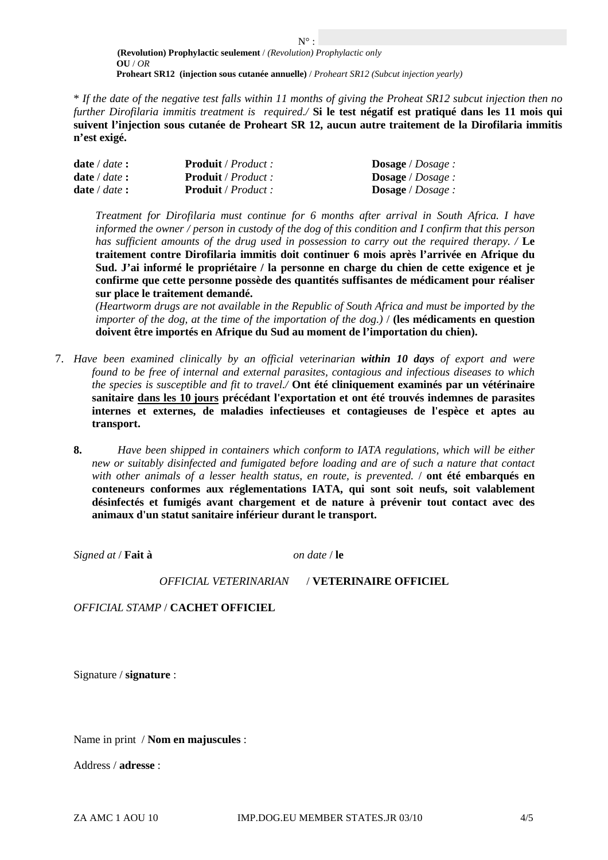$N^{\circ}:$  . The contract of  $N^{\circ}$  : **(Revolution) Prophylactic seulement** / *(Revolution) Prophylactic only* **OU** / *OR* **Proheart SR12 (injection sous cutanée annuelle)** / *Proheart SR12 (Subcut injection yearly)*

\* *If the date of the negative test falls within 11 months of giving the Proheat SR12 subcut injection then no further Dirofilaria immitis treatment is required./* **Si le test négatif est pratiqué dans les 11 mois qui suivent l'injection sous cutanée de Proheart SR 12, aucun autre traitement de la Dirofilaria immitis n'est exigé.**

| <b>date</b> / <i>date</i> : | <b>Produit</b> / <i>Product</i> : | <b>Dosage</b> / $Dosage$ : |
|-----------------------------|-----------------------------------|----------------------------|
| <b>date</b> / <i>date</i> : | <b>Produit</b> / <i>Product</i> : | <b>Dosage</b> / $Dosage$ : |
| <b>date</b> / <i>date</i> : | <b>Produit</b> / <i>Product</i> : | <b>Dosage</b> / $Dosage$ : |

*Treatment for Dirofilaria must continue for 6 months after arrival in South Africa. I have informed the owner / person in custody of the dog of this condition and I confirm that this person has sufficient amounts of the drug used in possession to carry out the required therapy. /* **Le traitement contre Dirofilaria immitis doit continuer 6 mois après l'arrivée en Afrique du Sud. J'ai informé le propriétaire / la personne en charge du chien de cette exigence et je confirme que cette personne possède des quantités suffisantes de médicament pour réaliser sur place le traitement demandé.** 

*(Heartworm drugs are not available in the Republic of South Africa and must be imported by the importer of the dog, at the time of the importation of the dog.)* / **(les médicaments en question doivent être importés en Afrique du Sud au moment de l'importation du chien).**

- 7. *Have been examined clinically by an official veterinarian within 10 days of export and were found to be free of internal and external parasites, contagious and infectious diseases to which the species is susceptible and fit to travel./* **Ont été cliniquement examinés par un vétérinaire sanitaire dans les 10 jours précédant l'exportation et ont été trouvés indemnes de parasites internes et externes, de maladies infectieuses et contagieuses de l'espèce et aptes au transport.**
	- **8.** *Have been shipped in containers which conform to IATA regulations, which will be either new or suitably disinfected and fumigated before loading and are of such a nature that contact with other animals of a lesser health status, en route, is prevented.* / **ont été embarqués en conteneurs conformes aux réglementations IATA, qui sont soit neufs, soit valablement désinfectés et fumigés avant chargement et de nature à prévenir tout contact avec des animaux d'un statut sanitaire inférieur durant le transport.**

*Signed at* / **Fait à** ……………………………. *on date* / **le** ………………………………………

*OFFICIAL VETERINARIAN* / **VETERINAIRE OFFICIEL**

*OFFICIAL STAMP* / **CACHET OFFICIEL**

Signature / **signature** :

Name in print / **Nom en majuscules** :

Address / **adresse** :